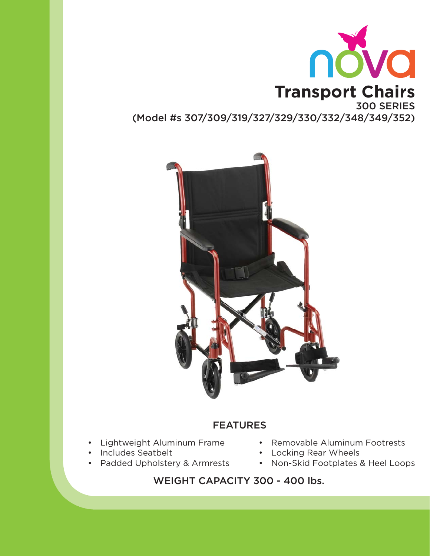



# FEATURES

- Lightweight Aluminum Frame
- Includes Seatbelt
- Padded Upholstery & Armrests
- Removable Aluminum Footrests
- Locking Rear Wheels
- Non-Skid Footplates & Heel Loops

WEIGHT CAPACITY 300 - 400 lbs.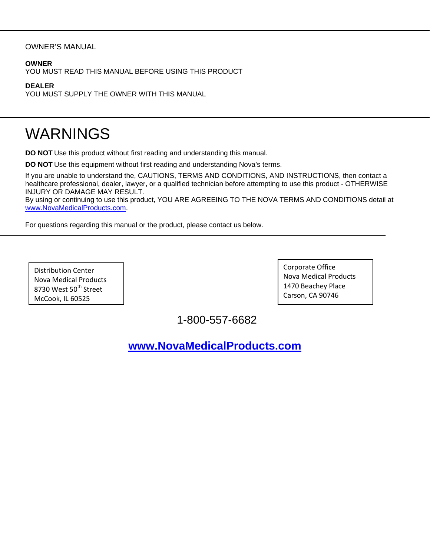#### OWNER'S MANUAL

#### **OWNER**

YOU MUST READ THIS MANUAL BEFORE USING THIS PRODUCT

#### **DEALER**

YOU MUST SUPPLY THE OWNER WITH THIS MANUAL

# WARNINGS

**DO NOT** Use this product without first reading and understanding this manual.

**DO NOT** Use this equipment without first reading and understanding Nova's terms.

If you are unable to understand the, CAUTIONS, TERMS AND CONDITIONS, AND INSTRUCTIONS, then contact a healthcare professional, dealer, lawyer, or a qualified technician before attempting to use this product - OTHERWISE INJURY OR DAMAGE MAY RESULT.

By using or continuing to use this product, YOU ARE AGREEING TO THE NOVA TERMS AND CONDITIONS detail at www.NovaMedicalProducts.com.

For questions regarding this manual or the product, please contact us below.

Distribution Center Nova Medical Products 8730 West 50<sup>th</sup> Street McCook, IL 60525

Corporate Office Nova Medical Products 1470 Beachey Place Carson, CA 90746

1-800-557-6682

**www.NovaMedicalProducts.com**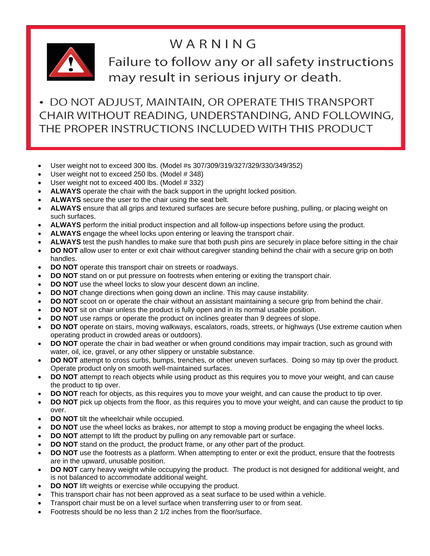# WARNING



Failure to follow any or all safety instructions may result in serious injury or death.

• DO NOT ADJUST, MAINTAIN, OR OPERATE THIS TRANSPORT CHAIR WITHOUT READING, UNDERSTANDING, AND FOLLOWING, THE PROPER INSTRUCTIONS INCLUDED WITH THIS PRODUCT

- User weight not to exceed 300 lbs. (Model #s 307/309/319/327/329/330/349/352)
- User weight not to exceed 250 lbs. (Model # 348)
- User weight not to exceed 400 lbs. (Model # 332)
- **ALWAYS** operate the chair with the back support in the upright locked position.
- **ALWAYS** secure the user to the chair using the seat belt.
- **ALWAYS** ensure that all grips and textured surfaces are secure before pushing, pulling, or placing weight on such surfaces.
- **ALWAYS** perform the initial product inspection and all follow-up inspections before using the product.
- **ALWAYS** engage the wheel locks upon entering or leaving the transport chair.
- **ALWAYS** test the push handles to make sure that both push pins are securely in place before sitting in the chair
- **DO NOT** allow user to enter or exit chair without caregiver standing behind the chair with a secure grip on both handles.
- **DO NOT** operate this transport chair on streets or roadways.
- **DO NOT** stand on or put pressure on footrests when entering or exiting the transport chair.
- **DO NOT** use the wheel locks to slow your descent down an incline.
- **DO NOT** change directions when going down an incline. This may cause instability.
- **DO NOT** scoot on or operate the chair without an assistant maintaining a secure grip from behind the chair.
- **DO NOT** sit on chair unless the product is fully open and in its normal usable position.
- **DO NOT** use ramps or operate the product on inclines greater than 9 degrees of slope.
- **DO NOT** operate on stairs, moving walkways, escalators, roads, streets, or highways (Use extreme caution when operating product in crowded areas or outdoors).
- **DO NOT** operate the chair in bad weather or when ground conditions may impair traction, such as ground with water, oil, ice, gravel, or any other slippery or unstable substance.
- **DO NOT** attempt to cross curbs, bumps, trenches, or other uneven surfaces. Doing so may tip over the product. Operate product only on smooth well-maintained surfaces.
- **DO NOT** attempt to reach objects while using product as this requires you to move your weight, and can cause the product to tip over.
- **DO NOT** reach for objects, as this requires you to move your weight, and can cause the product to tip over.
- **DO NOT** pick up objects from the floor, as this requires you to move your weight, and can cause the product to tip over.
- **DO NOT** tilt the wheelchair while occupied.
- **DO NOT** use the wheel locks as brakes, nor attempt to stop a moving product be engaging the wheel locks.
- **DO NOT** attempt to lift the product by pulling on any removable part or surface.
- **DO NOT** stand on the product, the product frame, or any other part of the product.
- **DO NOT** use the footrests as a platform. When attempting to enter or exit the product, ensure that the footrests are in the upward, unusable position.
- **DO NOT** carry heavy weight while occupying the product. The product is not designed for additional weight, and is not balanced to accommodate additional weight.
- **DO NOT** lift weights or exercise while occupying the product.
- This transport chair has not been approved as a seat surface to be used within a vehicle.
- Transport chair must be on a level surface when transferring user to or from seat.
- Footrests should be no less than 2 1/2 inches from the floor/surface.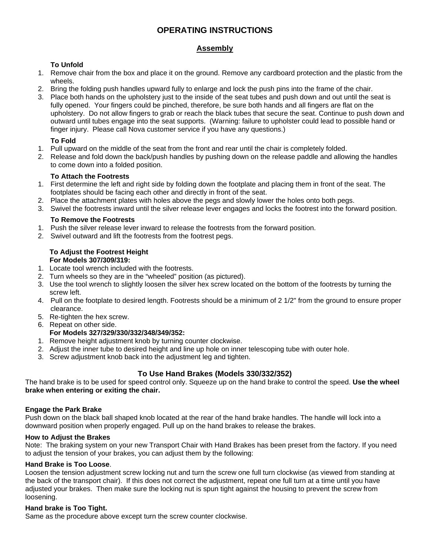# **OPERATING INSTRUCTIONS**

#### **Assembly**

#### **To Unfold**

- 1. Remove chair from the box and place it on the ground. Remove any cardboard protection and the plastic from the wheels.
- 2. Bring the folding push handles upward fully to enlarge and lock the push pins into the frame of the chair.
- 3. Place both hands on the upholstery just to the inside of the seat tubes and push down and out until the seat is fully opened. Your fingers could be pinched, therefore, be sure both hands and all fingers are flat on the upholstery. Do not allow fingers to grab or reach the black tubes that secure the seat. Continue to push down and outward until tubes engage into the seat supports. (Warning: failure to upholster could lead to possible hand or finger injury. Please call Nova customer service if you have any questions.)

#### **To Fold**

- 1. Pull upward on the middle of the seat from the front and rear until the chair is completely folded.
- 2. Release and fold down the back/push handles by pushing down on the release paddle and allowing the handles to come down into a folded position.

#### **To Attach the Footrests**

- 1. First determine the left and right side by folding down the footplate and placing them in front of the seat. The footplates should be facing each other and directly in front of the seat.
- 2. Place the attachment plates with holes above the pegs and slowly lower the holes onto both pegs.
- 3. Swivel the footrests inward until the silver release lever engages and locks the footrest into the forward position.

#### **To Remove the Footrests**

- 1. Push the silver release lever inward to release the footrests from the forward position.
- 2. Swivel outward and lift the footrests from the footrest pegs.

#### **To Adjust the Footrest Height For Models 307/309/319:**

- 1. Locate tool wrench included with the footrests.
- 2. Turn wheels so they are in the "wheeled" position (as pictured).
- 3. Use the tool wrench to slightly loosen the silver hex screw located on the bottom of the footrests by turning the screw left.
- 4. Pull on the footplate to desired length. Footrests should be a minimum of 2 1/2" from the ground to ensure proper clearance.
- 5. Re-tighten the hex screw.
- 6. Repeat on other side.

#### **For Models 327/329/330/332/348/349/352:**

- 1. Remove height adjustment knob by turning counter clockwise.
- 2. Adjust the inner tube to desired height and line up hole on inner telescoping tube with outer hole.
- 3. Screw adjustment knob back into the adjustment leg and tighten.

### **To Use Hand Brakes (Models 330/332/352)**

The hand brake is to be used for speed control only. Squeeze up on the hand brake to control the speed. **Use the wheel brake when entering or exiting the chair.** 

#### **Engage the Park Brake**

Push down on the black ball shaped knob located at the rear of the hand brake handles. The handle will lock into a downward position when properly engaged. Pull up on the hand brakes to release the brakes.

#### **How to Adjust the Brakes**

Note: The braking system on your new Transport Chair with Hand Brakes has been preset from the factory. If you need to adjust the tension of your brakes, you can adjust them by the following:

#### **Hand Brake is Too Loose**.

Loosen the tension adjustment screw locking nut and turn the screw one full turn clockwise (as viewed from standing at the back of the transport chair). If this does not correct the adjustment, repeat one full turn at a time until you have adjusted your brakes. Then make sure the locking nut is spun tight against the housing to prevent the screw from loosening.

#### **Hand brake is Too Tight.**

Same as the procedure above except turn the screw counter clockwise.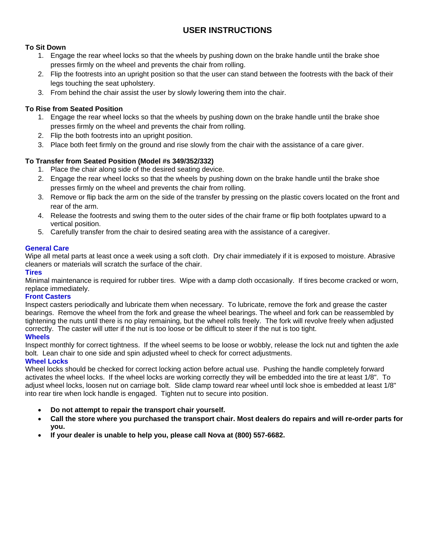# **USER INSTRUCTIONS**

#### **To Sit Down**

- 1. Engage the rear wheel locks so that the wheels by pushing down on the brake handle until the brake shoe presses firmly on the wheel and prevents the chair from rolling.
- 2. Flip the footrests into an upright position so that the user can stand between the footrests with the back of their legs touching the seat upholstery.
- 3. From behind the chair assist the user by slowly lowering them into the chair.

#### **To Rise from Seated Position**

- 1. Engage the rear wheel locks so that the wheels by pushing down on the brake handle until the brake shoe presses firmly on the wheel and prevents the chair from rolling.
- 2. Flip the both footrests into an upright position.
- 3. Place both feet firmly on the ground and rise slowly from the chair with the assistance of a care giver.

#### **To Transfer from Seated Position (Model #s 349/352/332)**

- 1. Place the chair along side of the desired seating device.
- 2. Engage the rear wheel locks so that the wheels by pushing down on the brake handle until the brake shoe presses firmly on the wheel and prevents the chair from rolling.
- 3. Remove or flip back the arm on the side of the transfer by pressing on the plastic covers located on the front and rear of the arm.
- 4. Release the footrests and swing them to the outer sides of the chair frame or flip both footplates upward to a vertical position.
- 5. Carefully transfer from the chair to desired seating area with the assistance of a caregiver.

#### **General Care**

Wipe all metal parts at least once a week using a soft cloth. Dry chair immediately if it is exposed to moisture. Abrasive cleaners or materials will scratch the surface of the chair.

#### **Tires**

Minimal maintenance is required for rubber tires. Wipe with a damp cloth occasionally. If tires become cracked or worn, replace immediately.

#### **Front Casters**

Inspect casters periodically and lubricate them when necessary. To lubricate, remove the fork and grease the caster bearings. Remove the wheel from the fork and grease the wheel bearings. The wheel and fork can be reassembled by tightening the nuts until there is no play remaining, but the wheel rolls freely. The fork will revolve freely when adjusted correctly. The caster will utter if the nut is too loose or be difficult to steer if the nut is too tight.

#### **Wheels**

Inspect monthly for correct tightness. If the wheel seems to be loose or wobbly, release the lock nut and tighten the axle bolt. Lean chair to one side and spin adjusted wheel to check for correct adjustments.

#### **Wheel Locks**

Wheel locks should be checked for correct locking action before actual use. Pushing the handle completely forward activates the wheel locks. If the wheel locks are working correctly they will be embedded into the tire at least 1/8". To adjust wheel locks, loosen nut on carriage bolt. Slide clamp toward rear wheel until lock shoe is embedded at least 1/8" into rear tire when lock handle is engaged. Tighten nut to secure into position.

- **Do not attempt to repair the transport chair yourself.**
- **Call the store where you purchased the transport chair. Most dealers do repairs and will re-order parts for you.**
- **If your dealer is unable to help you, please call Nova at (800) 557-6682.**